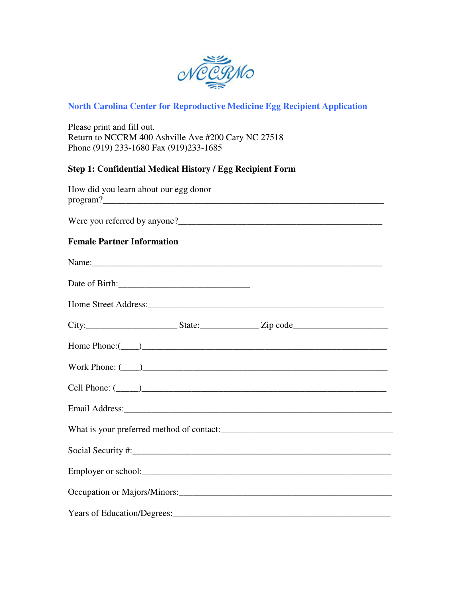

# **North Carolina Center for Reproductive Medicine Egg Recipient Application**

Please print and fill out. Return to NCCRM 400 Ashville Ave #200 Cary NC 27518 Phone (919) 233-1680 Fax (919)233-1685

# **Step 1: Confidential Medical History / Egg Recipient Form**

| How did you learn about our egg donor |  |  |  |  |  |  |  |  |
|---------------------------------------|--|--|--|--|--|--|--|--|
|                                       |  |  |  |  |  |  |  |  |
| <b>Female Partner Information</b>     |  |  |  |  |  |  |  |  |
|                                       |  |  |  |  |  |  |  |  |
|                                       |  |  |  |  |  |  |  |  |
|                                       |  |  |  |  |  |  |  |  |
|                                       |  |  |  |  |  |  |  |  |
|                                       |  |  |  |  |  |  |  |  |
|                                       |  |  |  |  |  |  |  |  |
|                                       |  |  |  |  |  |  |  |  |
|                                       |  |  |  |  |  |  |  |  |
|                                       |  |  |  |  |  |  |  |  |
|                                       |  |  |  |  |  |  |  |  |
|                                       |  |  |  |  |  |  |  |  |
|                                       |  |  |  |  |  |  |  |  |
|                                       |  |  |  |  |  |  |  |  |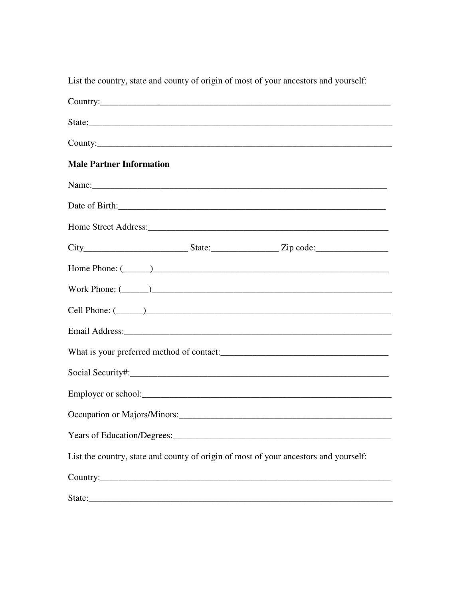| List the country, state and county of origin of most of your ancestors and yourself: |
|--------------------------------------------------------------------------------------|
| Country:                                                                             |
|                                                                                      |
| County:                                                                              |
| <b>Male Partner Information</b>                                                      |
| Name: Name:                                                                          |
|                                                                                      |
|                                                                                      |
| $City$ $City$ $State:$ $Zip code:$                                                   |
| Home Phone: $(\_\_)$                                                                 |
| Work Phone: $(\_\_)$                                                                 |
|                                                                                      |
|                                                                                      |
|                                                                                      |
|                                                                                      |
|                                                                                      |
|                                                                                      |
|                                                                                      |
| List the country, state and county of origin of most of your ancestors and yourself: |
|                                                                                      |
| State:                                                                               |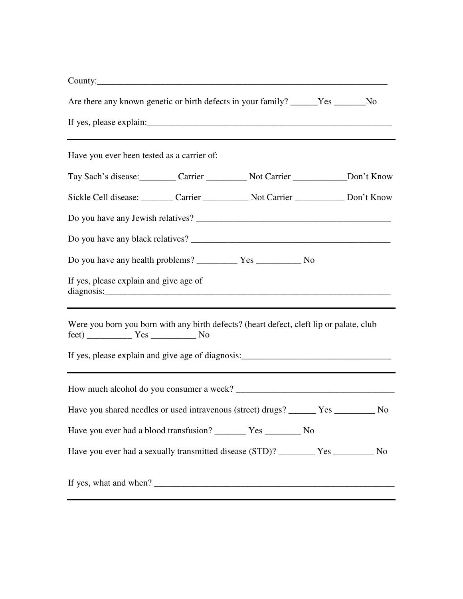| Are there any known genetic or birth defects in your family? ______Yes _______No                                                                                                                                                                                                                                                                                                                              |  |  |
|---------------------------------------------------------------------------------------------------------------------------------------------------------------------------------------------------------------------------------------------------------------------------------------------------------------------------------------------------------------------------------------------------------------|--|--|
|                                                                                                                                                                                                                                                                                                                                                                                                               |  |  |
| Have you ever been tested as a carrier of:                                                                                                                                                                                                                                                                                                                                                                    |  |  |
|                                                                                                                                                                                                                                                                                                                                                                                                               |  |  |
| Sickle Cell disease: Carrier Carrier Not Carrier Don't Know                                                                                                                                                                                                                                                                                                                                                   |  |  |
|                                                                                                                                                                                                                                                                                                                                                                                                               |  |  |
|                                                                                                                                                                                                                                                                                                                                                                                                               |  |  |
|                                                                                                                                                                                                                                                                                                                                                                                                               |  |  |
| If yes, please explain and give age of                                                                                                                                                                                                                                                                                                                                                                        |  |  |
| Were you born you born with any birth defects? (heart defect, cleft lip or palate, club<br>$\text{ feet}$ ) $\_\_\_\_\_\_\_\_\_\_\_\_\_\_\_\_\_\_\_\_\_\_\_\_\_\_\_\_\_\_\_\_\_\_\_\_\_\_\_$                                                                                                                                                                                                                  |  |  |
| If yes, please explain and give age of diagnosis: _______________________________                                                                                                                                                                                                                                                                                                                             |  |  |
|                                                                                                                                                                                                                                                                                                                                                                                                               |  |  |
| Have you shared needles or used intravenous (street) drugs? ______ Yes ________ No                                                                                                                                                                                                                                                                                                                            |  |  |
| Have you ever had a blood transfusion? __________ Yes ___________ No                                                                                                                                                                                                                                                                                                                                          |  |  |
|                                                                                                                                                                                                                                                                                                                                                                                                               |  |  |
| If yes, what and when? $\frac{1}{\sqrt{1-\frac{1}{\sqrt{1-\frac{1}{\sqrt{1-\frac{1}{\sqrt{1-\frac{1}{\sqrt{1-\frac{1}{\sqrt{1-\frac{1}{\sqrt{1-\frac{1}{\sqrt{1-\frac{1}{\sqrt{1-\frac{1}{\sqrt{1-\frac{1}{\sqrt{1-\frac{1}{\sqrt{1-\frac{1}{\sqrt{1-\frac{1}{\sqrt{1-\frac{1}{\sqrt{1-\frac{1}{\sqrt{1-\frac{1}{\sqrt{1-\frac{1}{\sqrt{1-\frac{1}{\sqrt{1-\frac{1}{\sqrt{1-\frac{1}{\sqrt{1-\frac{1}{\sqrt{$ |  |  |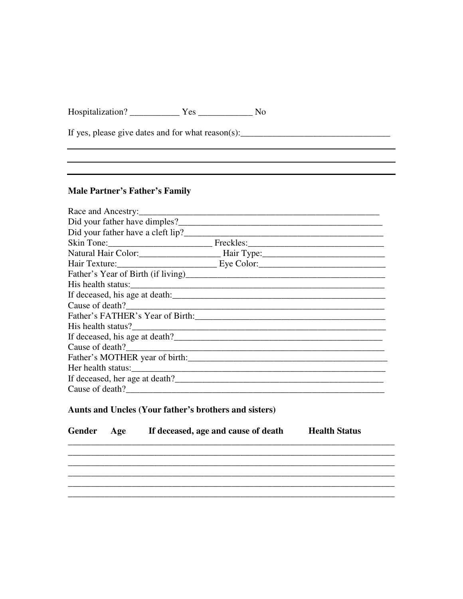## **Male Partner's Father's Family**

| Race and Ancestry:             |  |  |  |  |  |  |  |
|--------------------------------|--|--|--|--|--|--|--|
|                                |  |  |  |  |  |  |  |
|                                |  |  |  |  |  |  |  |
|                                |  |  |  |  |  |  |  |
|                                |  |  |  |  |  |  |  |
|                                |  |  |  |  |  |  |  |
|                                |  |  |  |  |  |  |  |
|                                |  |  |  |  |  |  |  |
|                                |  |  |  |  |  |  |  |
| Cause of death?                |  |  |  |  |  |  |  |
|                                |  |  |  |  |  |  |  |
|                                |  |  |  |  |  |  |  |
|                                |  |  |  |  |  |  |  |
| Cause of death?                |  |  |  |  |  |  |  |
| Father's MOTHER year of birth: |  |  |  |  |  |  |  |
|                                |  |  |  |  |  |  |  |
| If deceased, her age at death? |  |  |  |  |  |  |  |
| Cause of death?                |  |  |  |  |  |  |  |

## Aunts and Uncles (Your father's brothers and sisters)

| Gender Age | If deceased, age and cause of death | <b>Health Status</b> |
|------------|-------------------------------------|----------------------|
|            |                                     |                      |
|            |                                     |                      |
|            |                                     |                      |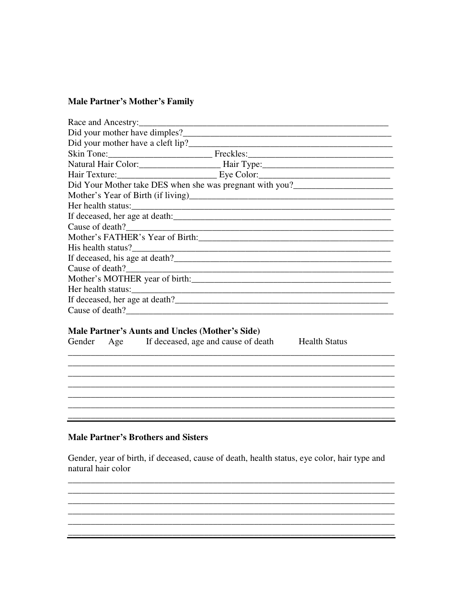## **Male Partner's Mother's Family**

## Male Partner's Aunts and Uncles (Mother's Side)

| Gender | Age | If deceased, age and cause of death |  |
|--------|-----|-------------------------------------|--|
|--------|-----|-------------------------------------|--|

**Health Status** 

#### **Male Partner's Brothers and Sisters**

Gender, year of birth, if deceased, cause of death, health status, eye color, hair type and natural hair color

<u> 1989 - Jan James James James James James James James James James James James James James James James James</u>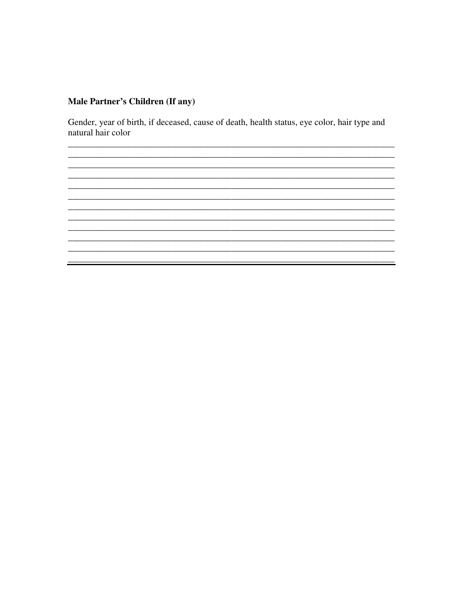# Male Partner's Children (If any)

Gender, year of birth, if deceased, cause of death, health status, eye color, hair type and natural hair color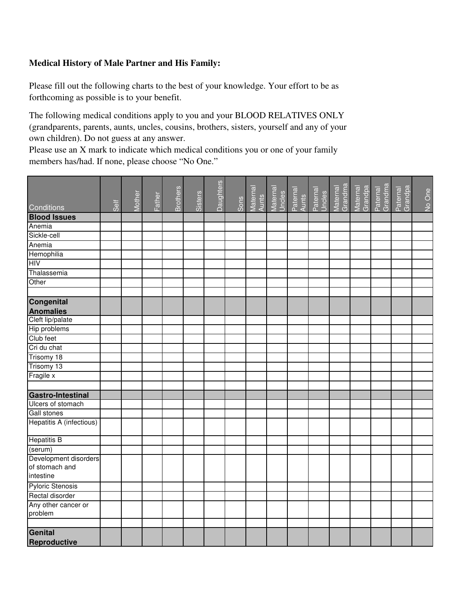## **Medical History of Male Partner and His Family:**

Please fill out the following charts to the best of your knowledge. Your effort to be as forthcoming as possible is to your benefit.

The following medical conditions apply to you and your BLOOD RELATIVES ONLY (grandparents, parents, aunts, uncles, cousins, brothers, sisters, yourself and any of your own children). Do not guess at any answer.

Please use an X mark to indicate which medical conditions you or one of your family members has/had. If none, please choose "No One."

|                                                      |      |        |        | <b>Brothers</b> |         | <b>Daughters</b> |      | Maternal<br>Aunts<br>Maternal<br>Uncles<br>Paternal<br>Paternal<br>Uncles |  | Maternal<br>Grandma | Maternal<br>Grandpa | Paternal<br>Grandma | Paternal<br>Grandpa |        |
|------------------------------------------------------|------|--------|--------|-----------------|---------|------------------|------|---------------------------------------------------------------------------|--|---------------------|---------------------|---------------------|---------------------|--------|
| Conditions                                           | Self | Mother | Father |                 | Sisters |                  | Sons |                                                                           |  |                     |                     |                     |                     | No One |
| <b>Blood Issues</b>                                  |      |        |        |                 |         |                  |      |                                                                           |  |                     |                     |                     |                     |        |
| Anemia                                               |      |        |        |                 |         |                  |      |                                                                           |  |                     |                     |                     |                     |        |
| Sickle-cell                                          |      |        |        |                 |         |                  |      |                                                                           |  |                     |                     |                     |                     |        |
| Anemia                                               |      |        |        |                 |         |                  |      |                                                                           |  |                     |                     |                     |                     |        |
| Hemophilia                                           |      |        |        |                 |         |                  |      |                                                                           |  |                     |                     |                     |                     |        |
| <b>HIV</b>                                           |      |        |        |                 |         |                  |      |                                                                           |  |                     |                     |                     |                     |        |
| Thalassemia                                          |      |        |        |                 |         |                  |      |                                                                           |  |                     |                     |                     |                     |        |
| Other                                                |      |        |        |                 |         |                  |      |                                                                           |  |                     |                     |                     |                     |        |
|                                                      |      |        |        |                 |         |                  |      |                                                                           |  |                     |                     |                     |                     |        |
| <b>Congenital</b>                                    |      |        |        |                 |         |                  |      |                                                                           |  |                     |                     |                     |                     |        |
| <b>Anomalies</b>                                     |      |        |        |                 |         |                  |      |                                                                           |  |                     |                     |                     |                     |        |
| Cleft lip/palate                                     |      |        |        |                 |         |                  |      |                                                                           |  |                     |                     |                     |                     |        |
| Hip problems                                         |      |        |        |                 |         |                  |      |                                                                           |  |                     |                     |                     |                     |        |
| Club feet                                            |      |        |        |                 |         |                  |      |                                                                           |  |                     |                     |                     |                     |        |
| Cri du chat                                          |      |        |        |                 |         |                  |      |                                                                           |  |                     |                     |                     |                     |        |
| Trisomy 18                                           |      |        |        |                 |         |                  |      |                                                                           |  |                     |                     |                     |                     |        |
| Trisomy 13                                           |      |        |        |                 |         |                  |      |                                                                           |  |                     |                     |                     |                     |        |
| Fragile x                                            |      |        |        |                 |         |                  |      |                                                                           |  |                     |                     |                     |                     |        |
|                                                      |      |        |        |                 |         |                  |      |                                                                           |  |                     |                     |                     |                     |        |
| <b>Gastro-Intestinal</b>                             |      |        |        |                 |         |                  |      |                                                                           |  |                     |                     |                     |                     |        |
| Ulcers of stomach                                    |      |        |        |                 |         |                  |      |                                                                           |  |                     |                     |                     |                     |        |
| Gall stones                                          |      |        |        |                 |         |                  |      |                                                                           |  |                     |                     |                     |                     |        |
| Hepatitis A (infectious)                             |      |        |        |                 |         |                  |      |                                                                           |  |                     |                     |                     |                     |        |
| <b>Hepatitis B</b>                                   |      |        |        |                 |         |                  |      |                                                                           |  |                     |                     |                     |                     |        |
| (serum)                                              |      |        |        |                 |         |                  |      |                                                                           |  |                     |                     |                     |                     |        |
| Development disorders<br>of stomach and<br>intestine |      |        |        |                 |         |                  |      |                                                                           |  |                     |                     |                     |                     |        |
| <b>Pyloric Stenosis</b>                              |      |        |        |                 |         |                  |      |                                                                           |  |                     |                     |                     |                     |        |
| Rectal disorder                                      |      |        |        |                 |         |                  |      |                                                                           |  |                     |                     |                     |                     |        |
| Any other cancer or                                  |      |        |        |                 |         |                  |      |                                                                           |  |                     |                     |                     |                     |        |
| problem                                              |      |        |        |                 |         |                  |      |                                                                           |  |                     |                     |                     |                     |        |
|                                                      |      |        |        |                 |         |                  |      |                                                                           |  |                     |                     |                     |                     |        |
| Genital                                              |      |        |        |                 |         |                  |      |                                                                           |  |                     |                     |                     |                     |        |
| Reproductive                                         |      |        |        |                 |         |                  |      |                                                                           |  |                     |                     |                     |                     |        |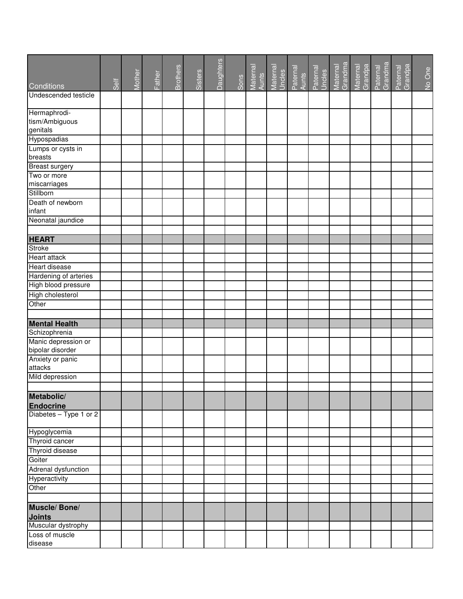|                             |      |        |        |                 |         | Daughters |      |                   |                    |                   |                    |                     |                     |                     |                     |        |
|-----------------------------|------|--------|--------|-----------------|---------|-----------|------|-------------------|--------------------|-------------------|--------------------|---------------------|---------------------|---------------------|---------------------|--------|
|                             |      | Mother | Father | <b>Brothers</b> | Sisters |           | Sons | Maternal<br>Aunts | Maternal<br>Uncles | Paternal<br>Aunts | Paternal<br>Uncles | Maternal<br>Grandma | Grandpa<br>Maternal | Paternal<br>Grandma | Paternal<br>Grandpa | No One |
| Conditions                  | Self |        |        |                 |         |           |      |                   |                    |                   |                    |                     |                     |                     |                     |        |
| Undescended testicle        |      |        |        |                 |         |           |      |                   |                    |                   |                    |                     |                     |                     |                     |        |
| Hermaphrodi-                |      |        |        |                 |         |           |      |                   |                    |                   |                    |                     |                     |                     |                     |        |
| tism/Ambiguous              |      |        |        |                 |         |           |      |                   |                    |                   |                    |                     |                     |                     |                     |        |
| genitals                    |      |        |        |                 |         |           |      |                   |                    |                   |                    |                     |                     |                     |                     |        |
| Hypospadias                 |      |        |        |                 |         |           |      |                   |                    |                   |                    |                     |                     |                     |                     |        |
| Lumps or cysts in           |      |        |        |                 |         |           |      |                   |                    |                   |                    |                     |                     |                     |                     |        |
| breasts                     |      |        |        |                 |         |           |      |                   |                    |                   |                    |                     |                     |                     |                     |        |
| <b>Breast surgery</b>       |      |        |        |                 |         |           |      |                   |                    |                   |                    |                     |                     |                     |                     |        |
| Two or more                 |      |        |        |                 |         |           |      |                   |                    |                   |                    |                     |                     |                     |                     |        |
| miscarriages                |      |        |        |                 |         |           |      |                   |                    |                   |                    |                     |                     |                     |                     |        |
| Stillborn                   |      |        |        |                 |         |           |      |                   |                    |                   |                    |                     |                     |                     |                     |        |
| Death of newborn            |      |        |        |                 |         |           |      |                   |                    |                   |                    |                     |                     |                     |                     |        |
| infant                      |      |        |        |                 |         |           |      |                   |                    |                   |                    |                     |                     |                     |                     |        |
| Neonatal jaundice           |      |        |        |                 |         |           |      |                   |                    |                   |                    |                     |                     |                     |                     |        |
|                             |      |        |        |                 |         |           |      |                   |                    |                   |                    |                     |                     |                     |                     |        |
| <b>HEART</b>                |      |        |        |                 |         |           |      |                   |                    |                   |                    |                     |                     |                     |                     |        |
| <b>Stroke</b>               |      |        |        |                 |         |           |      |                   |                    |                   |                    |                     |                     |                     |                     |        |
| <b>Heart attack</b>         |      |        |        |                 |         |           |      |                   |                    |                   |                    |                     |                     |                     |                     |        |
| <b>Heart disease</b>        |      |        |        |                 |         |           |      |                   |                    |                   |                    |                     |                     |                     |                     |        |
| Hardening of arteries       |      |        |        |                 |         |           |      |                   |                    |                   |                    |                     |                     |                     |                     |        |
| High blood pressure         |      |        |        |                 |         |           |      |                   |                    |                   |                    |                     |                     |                     |                     |        |
| High cholesterol            |      |        |        |                 |         |           |      |                   |                    |                   |                    |                     |                     |                     |                     |        |
| Other                       |      |        |        |                 |         |           |      |                   |                    |                   |                    |                     |                     |                     |                     |        |
|                             |      |        |        |                 |         |           |      |                   |                    |                   |                    |                     |                     |                     |                     |        |
| <b>Mental Health</b>        |      |        |        |                 |         |           |      |                   |                    |                   |                    |                     |                     |                     |                     |        |
| Schizophrenia               |      |        |        |                 |         |           |      |                   |                    |                   |                    |                     |                     |                     |                     |        |
| Manic depression or         |      |        |        |                 |         |           |      |                   |                    |                   |                    |                     |                     |                     |                     |        |
| bipolar disorder            |      |        |        |                 |         |           |      |                   |                    |                   |                    |                     |                     |                     |                     |        |
| Anxiety or panic<br>attacks |      |        |        |                 |         |           |      |                   |                    |                   |                    |                     |                     |                     |                     |        |
| Mild depression             |      |        |        |                 |         |           |      |                   |                    |                   |                    |                     |                     |                     |                     |        |
|                             |      |        |        |                 |         |           |      |                   |                    |                   |                    |                     |                     |                     |                     |        |
| Metabolic/                  |      |        |        |                 |         |           |      |                   |                    |                   |                    |                     |                     |                     |                     |        |
| <b>Endocrine</b>            |      |        |        |                 |         |           |      |                   |                    |                   |                    |                     |                     |                     |                     |        |
| Diabetes - Type 1 or 2      |      |        |        |                 |         |           |      |                   |                    |                   |                    |                     |                     |                     |                     |        |
|                             |      |        |        |                 |         |           |      |                   |                    |                   |                    |                     |                     |                     |                     |        |
| Hypoglycemia                |      |        |        |                 |         |           |      |                   |                    |                   |                    |                     |                     |                     |                     |        |
| Thyroid cancer              |      |        |        |                 |         |           |      |                   |                    |                   |                    |                     |                     |                     |                     |        |
| Thyroid disease             |      |        |        |                 |         |           |      |                   |                    |                   |                    |                     |                     |                     |                     |        |
| Goiter                      |      |        |        |                 |         |           |      |                   |                    |                   |                    |                     |                     |                     |                     |        |
| Adrenal dysfunction         |      |        |        |                 |         |           |      |                   |                    |                   |                    |                     |                     |                     |                     |        |
| Hyperactivity               |      |        |        |                 |         |           |      |                   |                    |                   |                    |                     |                     |                     |                     |        |
| Other                       |      |        |        |                 |         |           |      |                   |                    |                   |                    |                     |                     |                     |                     |        |
|                             |      |        |        |                 |         |           |      |                   |                    |                   |                    |                     |                     |                     |                     |        |
| Muscle/Bone/                |      |        |        |                 |         |           |      |                   |                    |                   |                    |                     |                     |                     |                     |        |
| <b>Joints</b>               |      |        |        |                 |         |           |      |                   |                    |                   |                    |                     |                     |                     |                     |        |
| Muscular dystrophy          |      |        |        |                 |         |           |      |                   |                    |                   |                    |                     |                     |                     |                     |        |
| Loss of muscle              |      |        |        |                 |         |           |      |                   |                    |                   |                    |                     |                     |                     |                     |        |
| disease                     |      |        |        |                 |         |           |      |                   |                    |                   |                    |                     |                     |                     |                     |        |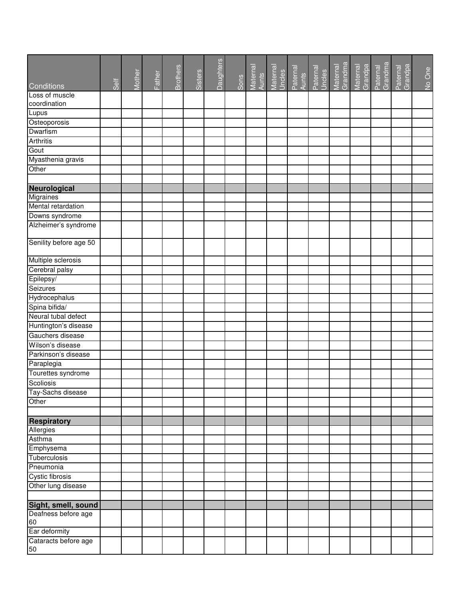|                            |      | Mother |        | <b>Brothers</b> | Sisters | Daughters |      |  | Maternal<br>Aunts<br>Maternal<br>Uncles<br>Paternal<br>Aunts<br>Uncles | Maternal<br>Grandma | Maternal<br>Grandpa<br>Paternal<br>Grandma | Paternal<br>Grandpa | No One |
|----------------------------|------|--------|--------|-----------------|---------|-----------|------|--|------------------------------------------------------------------------|---------------------|--------------------------------------------|---------------------|--------|
| Conditions                 | Self |        | Father |                 |         |           | Sons |  |                                                                        |                     |                                            |                     |        |
| Loss of muscle             |      |        |        |                 |         |           |      |  |                                                                        |                     |                                            |                     |        |
| coordination               |      |        |        |                 |         |           |      |  |                                                                        |                     |                                            |                     |        |
| Lupus                      |      |        |        |                 |         |           |      |  |                                                                        |                     |                                            |                     |        |
| Osteoporosis               |      |        |        |                 |         |           |      |  |                                                                        |                     |                                            |                     |        |
| Dwarfism                   |      |        |        |                 |         |           |      |  |                                                                        |                     |                                            |                     |        |
| <b>Arthritis</b>           |      |        |        |                 |         |           |      |  |                                                                        |                     |                                            |                     |        |
| Gout                       |      |        |        |                 |         |           |      |  |                                                                        |                     |                                            |                     |        |
| Myasthenia gravis          |      |        |        |                 |         |           |      |  |                                                                        |                     |                                            |                     |        |
| Other                      |      |        |        |                 |         |           |      |  |                                                                        |                     |                                            |                     |        |
|                            |      |        |        |                 |         |           |      |  |                                                                        |                     |                                            |                     |        |
| Neurological               |      |        |        |                 |         |           |      |  |                                                                        |                     |                                            |                     |        |
| Migraines                  |      |        |        |                 |         |           |      |  |                                                                        |                     |                                            |                     |        |
| Mental retardation         |      |        |        |                 |         |           |      |  |                                                                        |                     |                                            |                     |        |
| Downs syndrome             |      |        |        |                 |         |           |      |  |                                                                        |                     |                                            |                     |        |
| Alzheimer's syndrome       |      |        |        |                 |         |           |      |  |                                                                        |                     |                                            |                     |        |
| Senility before age 50     |      |        |        |                 |         |           |      |  |                                                                        |                     |                                            |                     |        |
| Multiple sclerosis         |      |        |        |                 |         |           |      |  |                                                                        |                     |                                            |                     |        |
| Cerebral palsy             |      |        |        |                 |         |           |      |  |                                                                        |                     |                                            |                     |        |
| Epilepsy/                  |      |        |        |                 |         |           |      |  |                                                                        |                     |                                            |                     |        |
| Seizures                   |      |        |        |                 |         |           |      |  |                                                                        |                     |                                            |                     |        |
| Hydrocephalus              |      |        |        |                 |         |           |      |  |                                                                        |                     |                                            |                     |        |
| Spina bifida/              |      |        |        |                 |         |           |      |  |                                                                        |                     |                                            |                     |        |
| Neural tubal defect        |      |        |        |                 |         |           |      |  |                                                                        |                     |                                            |                     |        |
| Huntington's disease       |      |        |        |                 |         |           |      |  |                                                                        |                     |                                            |                     |        |
| Gauchers disease           |      |        |        |                 |         |           |      |  |                                                                        |                     |                                            |                     |        |
| Wilson's disease           |      |        |        |                 |         |           |      |  |                                                                        |                     |                                            |                     |        |
| Parkinson's disease        |      |        |        |                 |         |           |      |  |                                                                        |                     |                                            |                     |        |
| Paraplegia                 |      |        |        |                 |         |           |      |  |                                                                        |                     |                                            |                     |        |
| Tourettes syndrome         |      |        |        |                 |         |           |      |  |                                                                        |                     |                                            |                     |        |
| Scoliosis                  |      |        |        |                 |         |           |      |  |                                                                        |                     |                                            |                     |        |
| Tay-Sachs disease          |      |        |        |                 |         |           |      |  |                                                                        |                     |                                            |                     |        |
| Other                      |      |        |        |                 |         |           |      |  |                                                                        |                     |                                            |                     |        |
|                            |      |        |        |                 |         |           |      |  |                                                                        |                     |                                            |                     |        |
| <b>Respiratory</b>         |      |        |        |                 |         |           |      |  |                                                                        |                     |                                            |                     |        |
| Allergies                  |      |        |        |                 |         |           |      |  |                                                                        |                     |                                            |                     |        |
| Asthma                     |      |        |        |                 |         |           |      |  |                                                                        |                     |                                            |                     |        |
| Emphysema                  |      |        |        |                 |         |           |      |  |                                                                        |                     |                                            |                     |        |
| Tuberculosis               |      |        |        |                 |         |           |      |  |                                                                        |                     |                                            |                     |        |
| Pneumonia                  |      |        |        |                 |         |           |      |  |                                                                        |                     |                                            |                     |        |
| Cystic fibrosis            |      |        |        |                 |         |           |      |  |                                                                        |                     |                                            |                     |        |
| Other lung disease         |      |        |        |                 |         |           |      |  |                                                                        |                     |                                            |                     |        |
| Sight, smell, sound        |      |        |        |                 |         |           |      |  |                                                                        |                     |                                            |                     |        |
| Deafness before age<br>60  |      |        |        |                 |         |           |      |  |                                                                        |                     |                                            |                     |        |
| Ear deformity              |      |        |        |                 |         |           |      |  |                                                                        |                     |                                            |                     |        |
| Cataracts before age<br>50 |      |        |        |                 |         |           |      |  |                                                                        |                     |                                            |                     |        |
|                            |      |        |        |                 |         |           |      |  |                                                                        |                     |                                            |                     |        |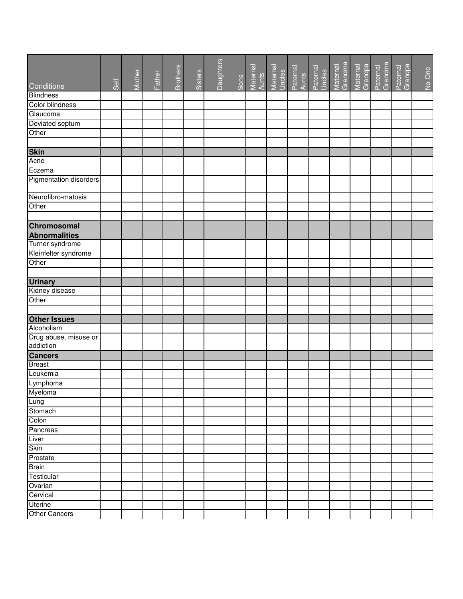|                        |      |        |        |                 |         | Daughters |      |                   |  |                                                                  |                     |                     |                     |                     |        |
|------------------------|------|--------|--------|-----------------|---------|-----------|------|-------------------|--|------------------------------------------------------------------|---------------------|---------------------|---------------------|---------------------|--------|
|                        |      | Mother | Father | <b>Brothers</b> | Sisters |           |      | Maternal<br>Aunts |  | Maternal<br>Uncles<br>Paternal<br>Paternal<br>Paternal<br>Uncles | Maternal<br>Grandma | Maternal<br>Grandpa | Paternal<br>Grandma | Paternal<br>Grandpa | No One |
| Conditions             | Self |        |        |                 |         |           | Sons |                   |  |                                                                  |                     |                     |                     |                     |        |
| <b>Blindness</b>       |      |        |        |                 |         |           |      |                   |  |                                                                  |                     |                     |                     |                     |        |
| Color blindness        |      |        |        |                 |         |           |      |                   |  |                                                                  |                     |                     |                     |                     |        |
| Glaucoma               |      |        |        |                 |         |           |      |                   |  |                                                                  |                     |                     |                     |                     |        |
| Deviated septum        |      |        |        |                 |         |           |      |                   |  |                                                                  |                     |                     |                     |                     |        |
| Other                  |      |        |        |                 |         |           |      |                   |  |                                                                  |                     |                     |                     |                     |        |
|                        |      |        |        |                 |         |           |      |                   |  |                                                                  |                     |                     |                     |                     |        |
| <b>Skin</b>            |      |        |        |                 |         |           |      |                   |  |                                                                  |                     |                     |                     |                     |        |
| Acne                   |      |        |        |                 |         |           |      |                   |  |                                                                  |                     |                     |                     |                     |        |
| Eczema                 |      |        |        |                 |         |           |      |                   |  |                                                                  |                     |                     |                     |                     |        |
| Pigmentation disorders |      |        |        |                 |         |           |      |                   |  |                                                                  |                     |                     |                     |                     |        |
| Neurofibro-matosis     |      |        |        |                 |         |           |      |                   |  |                                                                  |                     |                     |                     |                     |        |
| Other                  |      |        |        |                 |         |           |      |                   |  |                                                                  |                     |                     |                     |                     |        |
|                        |      |        |        |                 |         |           |      |                   |  |                                                                  |                     |                     |                     |                     |        |
| Chromosomal            |      |        |        |                 |         |           |      |                   |  |                                                                  |                     |                     |                     |                     |        |
| <b>Abnormalities</b>   |      |        |        |                 |         |           |      |                   |  |                                                                  |                     |                     |                     |                     |        |
| Turner syndrome        |      |        |        |                 |         |           |      |                   |  |                                                                  |                     |                     |                     |                     |        |
| Kleinfelter syndrome   |      |        |        |                 |         |           |      |                   |  |                                                                  |                     |                     |                     |                     |        |
| Other                  |      |        |        |                 |         |           |      |                   |  |                                                                  |                     |                     |                     |                     |        |
|                        |      |        |        |                 |         |           |      |                   |  |                                                                  |                     |                     |                     |                     |        |
| <b>Urinary</b>         |      |        |        |                 |         |           |      |                   |  |                                                                  |                     |                     |                     |                     |        |
| Kidney disease         |      |        |        |                 |         |           |      |                   |  |                                                                  |                     |                     |                     |                     |        |
| Other                  |      |        |        |                 |         |           |      |                   |  |                                                                  |                     |                     |                     |                     |        |
|                        |      |        |        |                 |         |           |      |                   |  |                                                                  |                     |                     |                     |                     |        |
| <b>Other Issues</b>    |      |        |        |                 |         |           |      |                   |  |                                                                  |                     |                     |                     |                     |        |
| Alcoholism             |      |        |        |                 |         |           |      |                   |  |                                                                  |                     |                     |                     |                     |        |
| Drug abuse, misuse or  |      |        |        |                 |         |           |      |                   |  |                                                                  |                     |                     |                     |                     |        |
| addiction              |      |        |        |                 |         |           |      |                   |  |                                                                  |                     |                     |                     |                     |        |
| <b>Cancers</b>         |      |        |        |                 |         |           |      |                   |  |                                                                  |                     |                     |                     |                     |        |
| <b>Breast</b>          |      |        |        |                 |         |           |      |                   |  |                                                                  |                     |                     |                     |                     |        |
| Leukemia               |      |        |        |                 |         |           |      |                   |  |                                                                  |                     |                     |                     |                     |        |
| Lymphoma               |      |        |        |                 |         |           |      |                   |  |                                                                  |                     |                     |                     |                     |        |
| Myeloma                |      |        |        |                 |         |           |      |                   |  |                                                                  |                     |                     |                     |                     |        |
| Lung                   |      |        |        |                 |         |           |      |                   |  |                                                                  |                     |                     |                     |                     |        |
| Stomach                |      |        |        |                 |         |           |      |                   |  |                                                                  |                     |                     |                     |                     |        |
| Colon                  |      |        |        |                 |         |           |      |                   |  |                                                                  |                     |                     |                     |                     |        |
| Pancreas               |      |        |        |                 |         |           |      |                   |  |                                                                  |                     |                     |                     |                     |        |
| Liver                  |      |        |        |                 |         |           |      |                   |  |                                                                  |                     |                     |                     |                     |        |
| <b>Skin</b>            |      |        |        |                 |         |           |      |                   |  |                                                                  |                     |                     |                     |                     |        |
| Prostate               |      |        |        |                 |         |           |      |                   |  |                                                                  |                     |                     |                     |                     |        |
| <b>Brain</b>           |      |        |        |                 |         |           |      |                   |  |                                                                  |                     |                     |                     |                     |        |
| Testicular             |      |        |        |                 |         |           |      |                   |  |                                                                  |                     |                     |                     |                     |        |
| Ovarian                |      |        |        |                 |         |           |      |                   |  |                                                                  |                     |                     |                     |                     |        |
| Cervical               |      |        |        |                 |         |           |      |                   |  |                                                                  |                     |                     |                     |                     |        |
| <b>Uterine</b>         |      |        |        |                 |         |           |      |                   |  |                                                                  |                     |                     |                     |                     |        |
| <b>Other Cancers</b>   |      |        |        |                 |         |           |      |                   |  |                                                                  |                     |                     |                     |                     |        |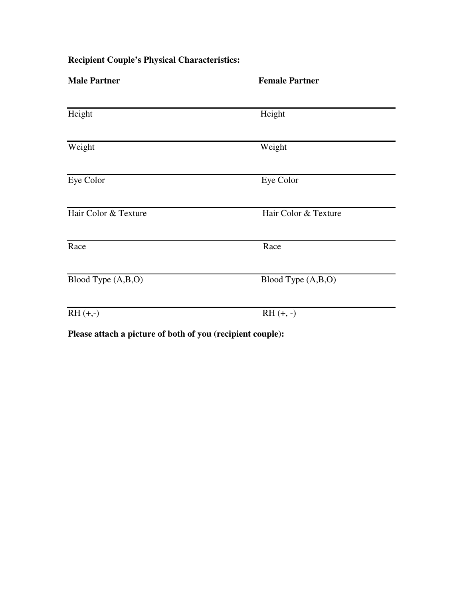| <b>Male Partner</b>  | <b>Female Partner</b> |
|----------------------|-----------------------|
| Height               | Height                |
| Weight               | Weight                |
| Eye Color            | Eye Color             |
| Hair Color & Texture | Hair Color & Texture  |
| Race                 | Race                  |
| Blood Type (A,B,O)   | Blood Type (A,B,O)    |
| $RH (+,-)$           | $RH (+, -)$           |

**Recipient Couple's Physical Characteristics:** 

**Please attach a picture of both of you (recipient couple):**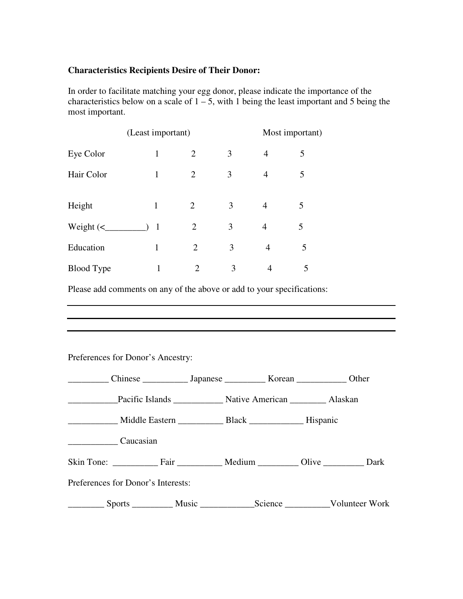## **Characteristics Recipients Desire of Their Donor:**

In order to facilitate matching your egg donor, please indicate the importance of the characteristics below on a scale of  $1 - 5$ , with 1 being the least important and 5 being the most important.

|                            | (Least important) |                | Most important) |                |   |
|----------------------------|-------------------|----------------|-----------------|----------------|---|
| Eye Color                  | 1                 | $\overline{2}$ | 3               | 4              | 5 |
| Hair Color                 | 1                 | $\overline{2}$ | 3               | 4              | 5 |
| Height                     | 1                 | $\overline{2}$ | 3               | $\overline{4}$ | 5 |
| Weight $\left(\leq\right)$ | $\overline{1}$    | 2              | 3               | 4              | 5 |
| Education                  | 1                 | 2              | 3               | 4              | 5 |
| <b>Blood Type</b>          | 1                 | 2              | 3               |                | 5 |

Please add comments on any of the above or add to your specifications:

Preferences for Donor's Ancestry:

| Chinese ________________ Japanese ______________ Korean ______________ Other |  |  |  |  |  |  |  |  |
|------------------------------------------------------------------------------|--|--|--|--|--|--|--|--|
|                                                                              |  |  |  |  |  |  |  |  |
|                                                                              |  |  |  |  |  |  |  |  |
| Caucasian                                                                    |  |  |  |  |  |  |  |  |
| Skin Tone: Fair Medium Olive Dark                                            |  |  |  |  |  |  |  |  |
| Preferences for Donor's Interests:                                           |  |  |  |  |  |  |  |  |
|                                                                              |  |  |  |  |  |  |  |  |